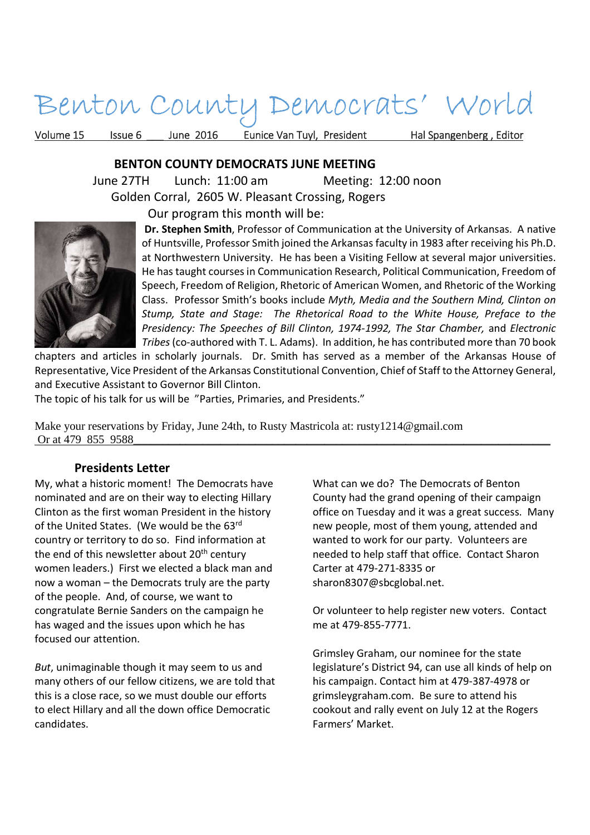# Benton County Democrats' World

Volume 15 Issue 6 Lune 2016 Eunice Van Tuyl, President Hal Spangenberg, Editor

#### **BENTON COUNTY DEMOCRATS JUNE MEETING**

 June 27TH Lunch: 11:00 am Meeting: 12:00 noon Golden Corral, 2605 W. Pleasant Crossing, Rogers

Our program this month will be:



**Dr. Stephen Smith**, Professor of Communication at the University of Arkansas. A native of Huntsville, Professor Smith joined the Arkansas faculty in 1983 after receiving his Ph.D. at Northwestern University. He has been a Visiting Fellow at several major universities. He has taught courses in Communication Research, Political Communication, Freedom of Speech, Freedom of Religion, Rhetoric of American Women, and Rhetoric of the Working Class. Professor Smith's books include *Myth, Media and the Southern Mind, Clinton on Stump, State and Stage: The Rhetorical Road to the White House, Preface to the Presidency: The Speeches of Bill Clinton, 1974-1992, The Star Chamber,* and *Electronic Tribes* (co-authored with T. L. Adams). In addition, he has contributed more than 70 book

chapters and articles in scholarly journals. Dr. Smith has served as a member of the Arkansas House of Representative, Vice President of the Arkansas Constitutional Convention, Chief of Staff to the Attorney General, and Executive Assistant to Governor Bill Clinton.

The topic of his talk for us will be "Parties, Primaries, and Presidents."

Make your reservations by Friday, June 24th, to Rusty Mastricola at: rusty1214@gmail.com Or at 479 855 9588

#### **Presidents Letter**

My, what a historic moment! The Democrats have nominated and are on their way to electing Hillary Clinton as the first woman President in the history of the United States. (We would be the 63rd country or territory to do so. Find information at the end of this newsletter about 20<sup>th</sup> century women leaders.) First we elected a black man and now a woman – the Democrats truly are the party of the people. And, of course, we want to congratulate Bernie Sanders on the campaign he has waged and the issues upon which he has focused our attention.

*But*, unimaginable though it may seem to us and many others of our fellow citizens, we are told that this is a close race, so we must double our efforts to elect Hillary and all the down office Democratic candidates.

What can we do? The Democrats of Benton County had the grand opening of their campaign office on Tuesday and it was a great success. Many new people, most of them young, attended and wanted to work for our party. Volunteers are needed to help staff that office. Contact Sharon Carter at 479-271-8335 or sharon8307@sbcglobal.net.

Or volunteer to help register new voters. Contact me at 479-855-7771.

Grimsley Graham, our nominee for the state legislature's District 94, can use all kinds of help on his campaign. Contact him at 479-387-4978 or grimsleygraham.com. Be sure to attend his cookout and rally event on July 12 at the Rogers Farmers' Market.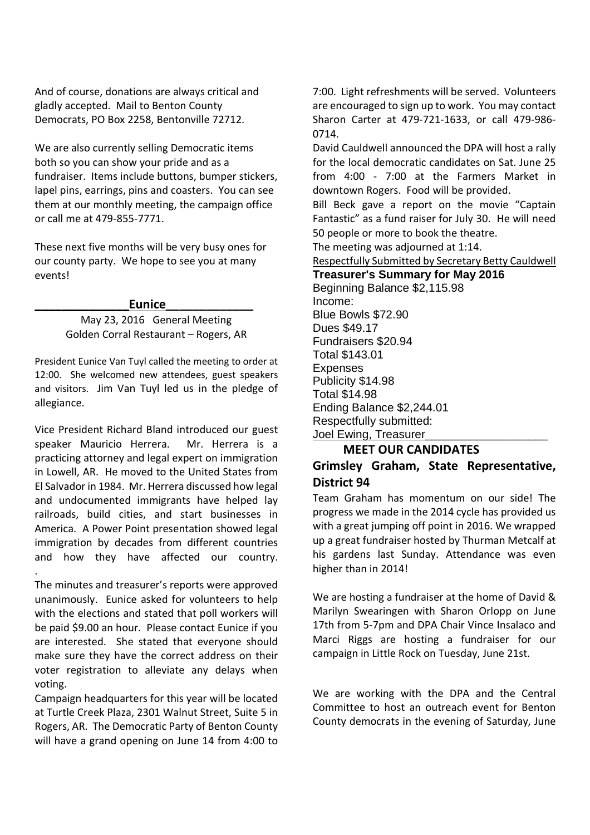And of course, donations are always critical and gladly accepted. Mail to Benton County Democrats, PO Box 2258, Bentonville 72712.

We are also currently selling Democratic items both so you can show your pride and as a fundraiser. Items include buttons, bumper stickers, lapel pins, earrings, pins and coasters. You can see them at our monthly meeting, the campaign office or call me at 479-855-7771.

These next five months will be very busy ones for our county party. We hope to see you at many events!

#### **\_\_\_\_\_\_\_\_\_\_\_\_\_\_Eunice\_\_\_\_\_\_\_\_\_\_\_\_\_**

May 23, 2016 General Meeting Golden Corral Restaurant – Rogers, AR

President Eunice Van Tuyl called the meeting to order at 12:00. She welcomed new attendees, guest speakers and visitors. Jim Van Tuyl led us in the pledge of allegiance.

Vice President Richard Bland introduced our guest speaker Mauricio Herrera. Mr. Herrera is a practicing attorney and legal expert on immigration in Lowell, AR. He moved to the United States from El Salvador in 1984. Mr. Herrera discussed how legal and undocumented immigrants have helped lay railroads, build cities, and start businesses in America. A Power Point presentation showed legal immigration by decades from different countries and how they have affected our country. .

The minutes and treasurer's reports were approved unanimously. Eunice asked for volunteers to help with the elections and stated that poll workers will be paid \$9.00 an hour. Please contact Eunice if you are interested. She stated that everyone should make sure they have the correct address on their voter registration to alleviate any delays when voting.

Campaign headquarters for this year will be located at Turtle Creek Plaza, 2301 Walnut Street, Suite 5 in Rogers, AR. The Democratic Party of Benton County will have a grand opening on June 14 from 4:00 to 7:00. Light refreshments will be served. Volunteers are encouraged to sign up to work. You may contact Sharon Carter at 479-721-1633, or call 479-986- 0714.

David Cauldwell announced the DPA will host a rally for the local democratic candidates on Sat. June 25 from 4:00 - 7:00 at the Farmers Market in downtown Rogers. Food will be provided.

Bill Beck gave a report on the movie "Captain Fantastic" as a fund raiser for July 30. He will need 50 people or more to book the theatre.

The meeting was adjourned at 1:14.

Respectfully Submitted by Secretary Betty Cauldwell

**Treasurer's Summary for May 2016**  Beginning Balance \$2,115.98 Income: Blue Bowls \$72.90 Dues \$49.17 Fundraisers \$20.94 Total \$143.01 **Expenses** Publicity \$14.98 Total \$14.98 Ending Balance \$2,244.01 Respectfully submitted: Joel Ewing, Treasurer

#### **MEET OUR CANDIDATES**

### **Grimsley Graham, State Representative, District 94**

Team Graham has momentum on our side! The progress we made in the 2014 cycle has provided us with a great jumping off point in 2016. We wrapped up a great fundraiser hosted by Thurman Metcalf at his gardens last Sunday. Attendance was even higher than in 2014!

We are hosting a fundraiser at the home of David & Marilyn Swearingen with Sharon Orlopp on June 17th from 5-7pm and DPA Chair Vince Insalaco and Marci Riggs are hosting a fundraiser for our campaign in Little Rock on Tuesday, June 21st.

We are working with the DPA and the Central Committee to host an outreach event for Benton County democrats in the evening of Saturday, June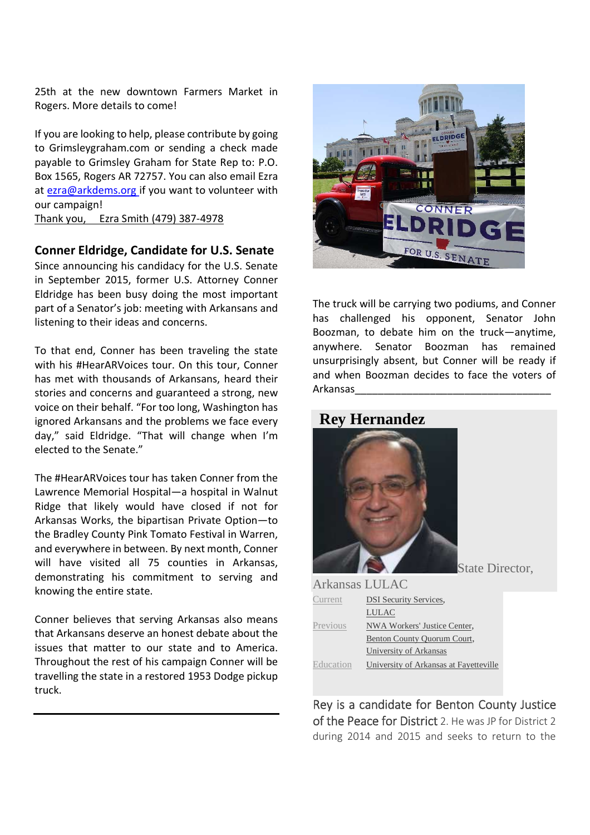25th at the new downtown Farmers Market in Rogers. More details to come!

If you are looking to help, please contribute by going to Grimsleygraham.com or sending a check made payable to Grimsley Graham for State Rep to: P.O. Box 1565, Rogers AR 72757. You can also email Ezra at ezra@arkdems.org if you want to volunteer with our campaign!

Thank you, Ezra Smith (479) 387-4978

#### **Conner Eldridge, Candidate for U.S. Senate**

Since announcing his candidacy for the U.S. Senate in September 2015, former U.S. Attorney Conner Eldridge has been busy doing the most important part of a Senator's job: meeting with Arkansans and listening to their ideas and concerns.

To that end, Conner has been traveling the state with his #HearARVoices tour. On this tour, Conner has met with thousands of Arkansans, heard their stories and concerns and guaranteed a strong, new voice on their behalf. "For too long, Washington has ignored Arkansans and the problems we face every day," said Eldridge. "That will change when I'm elected to the Senate."

The #HearARVoices tour has taken Conner from the Lawrence Memorial Hospital—a hospital in Walnut Ridge that likely would have closed if not for Arkansas Works, the bipartisan Private Option—to the Bradley County Pink Tomato Festival in Warren, and everywhere in between. By next month, Conner will have visited all 75 counties in Arkansas, demonstrating his commitment to serving and knowing the entire state.

Conner believes that serving Arkansas also means that Arkansans deserve an honest debate about the issues that matter to our state and to America. Throughout the rest of his campaign Conner will be travelling the state in a restored 1953 Dodge pickup truck.



The truck will be carrying two podiums, and Conner has challenged his opponent, Senator John Boozman, to debate him on the truck—anytime, anywhere. Senator Boozman has remained unsurprisingly absent, but Conner will be ready if and when Boozman decides to face the voters of Arkansas\_\_\_\_\_\_\_\_\_\_\_\_\_\_\_\_\_\_\_\_\_\_\_\_\_\_\_\_\_\_\_\_\_\_

## **Rey Hernandez**



 $Arkancos$  LULAC

State Director,

| 7 ARQUESCO L'OLIVO            |  |  |
|-------------------------------|--|--|
| <b>DSI Security Services.</b> |  |  |
| LULAC                         |  |  |
| NWA Workers' Justice Center,  |  |  |
| Benton County Quorum Court,   |  |  |
| University of Arkansas        |  |  |
|                               |  |  |

Education University of Arkansas at Fayetteville

Rey is a candidate for Benton County Justice of the Peace for District 2. He was JP for District 2 during 2014 and 2015 and seeks to return to the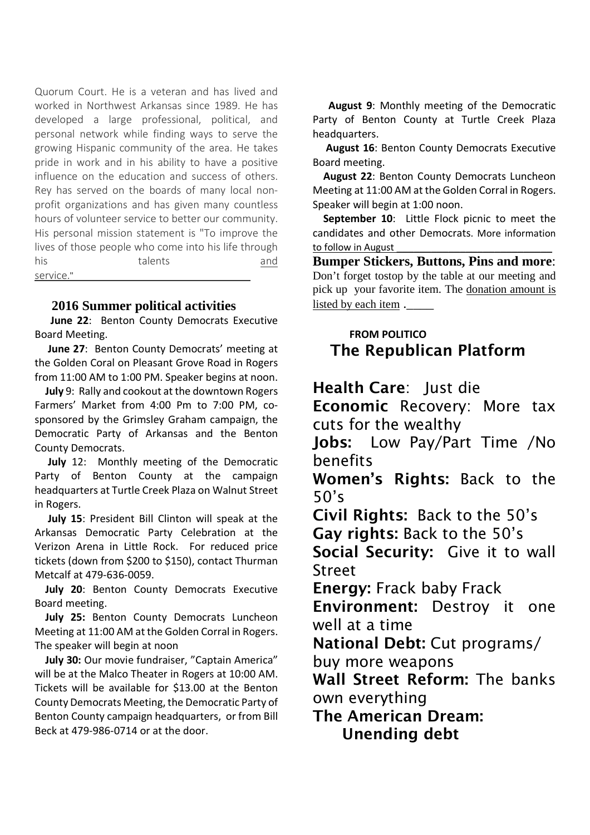Quorum Court. He is a veteran and has lived and worked in Northwest Arkansas since 1989. He has developed a large professional, political, and personal network while finding ways to serve the growing Hispanic community of the area. He takes pride in work and in his ability to have a positive influence on the education and success of others. Rey has served on the boards of many local nonprofit organizations and has given many countless hours of volunteer service to better our community. His personal mission statement is "To improve the lives of those people who come into his life through his talents and service."

#### **2016 Summer political activities**

 **June 22**: Benton County Democrats Executive Board Meeting.

 **June 27**: Benton County Democrats' meeting at the Golden Coral on Pleasant Grove Road in Rogers from 11:00 AM to 1:00 PM. Speaker begins at noon.

 **July** 9: Rally and cookout at the downtown Rogers Farmers' Market from 4:00 Pm to 7:00 PM, cosponsored by the Grimsley Graham campaign, the Democratic Party of Arkansas and the Benton County Democrats.

 **July** 12: Monthly meeting of the Democratic Party of Benton County at the campaign headquarters at Turtle Creek Plaza on Walnut Street in Rogers.

 **July 15**: President Bill Clinton will speak at the Arkansas Democratic Party Celebration at the Verizon Arena in Little Rock. For reduced price tickets (down from \$200 to \$150), contact Thurman Metcalf at 479-636-0059.

 **July 20**: Benton County Democrats Executive Board meeting.

 **July 25:** Benton County Democrats Luncheon Meeting at 11:00 AM at the Golden Corral in Rogers. The speaker will begin at noon

 **July 30:** Our movie fundraiser, "Captain America" will be at the Malco Theater in Rogers at 10:00 AM. Tickets will be available for \$13.00 at the Benton County Democrats Meeting, the Democratic Party of Benton County campaign headquarters, or from Bill Beck at 479-986-0714 or at the door.

 **August 9**: Monthly meeting of the Democratic Party of Benton County at Turtle Creek Plaza headquarters.

 **August 16**: Benton County Democrats Executive Board meeting.

 **August 22**: Benton County Democrats Luncheon Meeting at 11:00 AM at the Golden Corral in Rogers. Speaker will begin at 1:00 noon.

 **September 10**: Little Flock picnic to meet the candidates and other Democrats. More information to follow in August

**Bumper Stickers, Buttons, Pins and more**: Don't forget tostop by the table at our meeting and pick up your favorite item. The donation amount is listed by each item.

## **FROM POLITICO The Republican Platform**

**Health Care**: Just die **Economic** Recovery: More tax cuts for the wealthy

**Jobs:** Low Pay/Part Time /No benefits

**Women's Rights:** Back to the 50's

**Civil Rights:** Back to the 50's **Gay rights:** Back to the 50's

**Social Security:** Give it to wall **Street** 

**Energy:** Frack baby Frack

**Environment:** Destroy it one well at a time

**National Debt:** Cut programs/

buy more weapons

**Wall Street Reform:** The banks own everything

**The American Dream: Unending debt**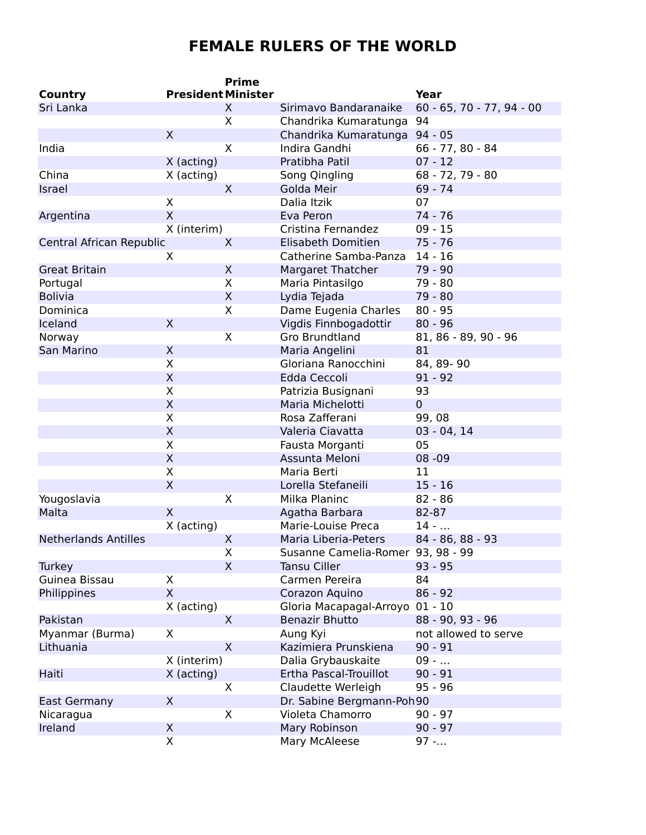## **FEMALE RULERS OF THE WORLD**

|                             |                           | <b>Prime</b> |                                   |                           |
|-----------------------------|---------------------------|--------------|-----------------------------------|---------------------------|
| Country                     | <b>President Minister</b> |              |                                   | Year                      |
| Sri Lanka                   |                           | X.           | Sirimavo Bandaranaike             | 60 - 65, 70 - 77, 94 - 00 |
|                             |                           | X            | Chandrika Kumaratunga             | 94                        |
|                             | $\mathsf{X}$              |              | Chandrika Kumaratunga 94 - 05     |                           |
| India                       |                           | X            | Indira Gandhi                     | $66 - 77, 80 - 84$        |
|                             | X (acting)                |              | Pratibha Patil                    | $07 - 12$                 |
| China                       | X (acting)                |              | Song Qingling                     | 68 - 72, 79 - 80          |
| Israel                      |                           | $\sf X$      | Golda Meir                        | $69 - 74$                 |
|                             | X                         |              | Dalia Itzik                       | 07                        |
| Argentina                   | $\mathsf{X}$              |              | Eva Peron                         | 74 - 76                   |
|                             | X (interim)               |              | Cristina Fernandez                | $09 - 15$                 |
| Central African Republic    |                           | $\sf X$      | Elisabeth Domitien                | $75 - 76$                 |
|                             | X                         |              | Catherine Samba-Panza             | $14 - 16$                 |
| <b>Great Britain</b>        |                           | X            | Margaret Thatcher                 | 79 - 90                   |
| Portugal                    |                           | X            | Maria Pintasilgo                  | 79 - 80                   |
| <b>Bolivia</b>              |                           | X            | Lydia Tejada                      | 79 - 80                   |
| Dominica                    |                           | X            | Dame Eugenia Charles              | $80 - 95$                 |
| Iceland                     | X                         |              | Vigdis Finnbogadottir             | $80 - 96$                 |
| Norway                      |                           | X            | Gro Brundtland                    | 81, 86 - 89, 90 - 96      |
| San Marino                  | X                         |              | Maria Angelini                    | 81                        |
|                             | X                         |              | Gloriana Ranocchini               | 84, 89-90                 |
|                             | $\mathsf{X}$              |              | Edda Ceccoli                      | $91 - 92$                 |
|                             | X                         |              | Patrizia Busignani                | 93                        |
|                             | X                         |              | Maria Michelotti                  | $\mathbf{0}$              |
|                             | X                         |              | Rosa Zafferani                    | 99,08                     |
|                             | $\mathsf{X}$              |              | Valeria Ciavatta                  | $03 - 04, 14$             |
|                             | X                         |              | Fausta Morganti                   | 05                        |
|                             | $\mathsf X$               |              | Assunta Meloni                    | 08 - 09                   |
|                             | X                         |              | Maria Berti                       | 11                        |
|                             | X                         |              | Lorella Stefaneili                | $15 - 16$                 |
| Yougoslavia                 |                           | X            | Milka Planinc                     | $82 - 86$                 |
| Malta                       | $\mathsf{X}$              |              | Agatha Barbara                    | 82-87                     |
|                             | X (acting)                |              | Marie-Louise Preca                | $14 - $                   |
| <b>Netherlands Antilles</b> |                           | X            | Maria Liberia-Peters              | 84 - 86, 88 - 93          |
|                             |                           | X            | Susanne Camelia-Romer 93, 98 - 99 |                           |
| <b>Turkey</b>               |                           | X            | <b>Tansu Ciller</b>               | $93 - 95$                 |
| Guinea Bissau               | X                         |              | Carmen Pereira                    | 84                        |
| Philippines                 | $\mathsf{X}$              |              | Corazon Aquino                    | $86 - 92$                 |
|                             | X (acting)                |              | Gloria Macapagal-Arroyo           | $01 - 10$                 |
| Pakistan                    |                           | $\mathsf{X}$ | <b>Benazir Bhutto</b>             | 88 - 90, 93 - 96          |
| Myanmar (Burma)             | X                         |              | Aung Kyi                          | not allowed to serve      |
| Lithuania                   |                           | $\mathsf{X}$ | Kazimiera Prunskiena              | $90 - 91$                 |
|                             | X (interim)               |              | Dalia Grybauskaite                | $09 - $                   |
| Haiti                       | $X$ (acting)              |              | Ertha Pascal-Trouillot            | $90 - 91$                 |
|                             |                           | X            | Claudette Werleigh                | $95 - 96$                 |
| East Germany                | X                         |              | Dr. Sabine Bergmann-Poh90         |                           |
| Nicaragua                   |                           | X            | Violeta Chamorro                  | $90 - 97$                 |
| Ireland                     | X                         |              | Mary Robinson                     | $90 - 97$                 |
|                             | X                         |              | Mary McAleese                     | $97 - $                   |